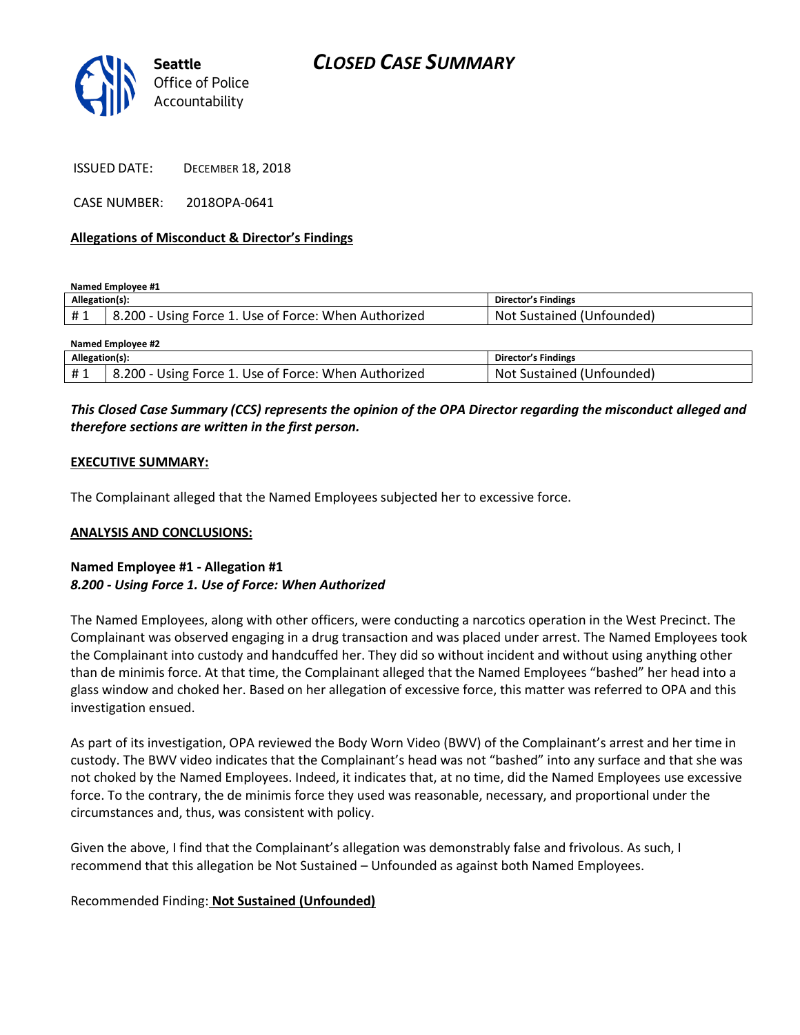

ISSUED DATE: DECEMBER 18, 2018

CASE NUMBER: 2018OPA-0641

### **Allegations of Misconduct & Director's Findings**

**Named Employee #1**

| Allegation(s):   |                                                              | <b>Director's Findings</b>    |
|------------------|--------------------------------------------------------------|-------------------------------|
| <b>H</b> 1<br>ᅲᆚ | ் - 200. ن<br>- Using Force 1. Use of Force: When Authorized | Sustained (Unfounded)<br>.Not |
|                  |                                                              |                               |

| Named Employee #2 |                                                      |                           |  |
|-------------------|------------------------------------------------------|---------------------------|--|
| Allegation(s):    |                                                      | Director's Findings       |  |
| #1                | 8.200 - Using Force 1. Use of Force: When Authorized | Not Sustained (Unfounded) |  |

# *This Closed Case Summary (CCS) represents the opinion of the OPA Director regarding the misconduct alleged and therefore sections are written in the first person.*

### **EXECUTIVE SUMMARY:**

The Complainant alleged that the Named Employees subjected her to excessive force.

### **ANALYSIS AND CONCLUSIONS:**

## **Named Employee #1 - Allegation #1** *8.200 - Using Force 1. Use of Force: When Authorized*

The Named Employees, along with other officers, were conducting a narcotics operation in the West Precinct. The Complainant was observed engaging in a drug transaction and was placed under arrest. The Named Employees took the Complainant into custody and handcuffed her. They did so without incident and without using anything other than de minimis force. At that time, the Complainant alleged that the Named Employees "bashed" her head into a glass window and choked her. Based on her allegation of excessive force, this matter was referred to OPA and this investigation ensued.

As part of its investigation, OPA reviewed the Body Worn Video (BWV) of the Complainant's arrest and her time in custody. The BWV video indicates that the Complainant's head was not "bashed" into any surface and that she was not choked by the Named Employees. Indeed, it indicates that, at no time, did the Named Employees use excessive force. To the contrary, the de minimis force they used was reasonable, necessary, and proportional under the circumstances and, thus, was consistent with policy.

Given the above, I find that the Complainant's allegation was demonstrably false and frivolous. As such, I recommend that this allegation be Not Sustained – Unfounded as against both Named Employees.

# Recommended Finding: **Not Sustained (Unfounded)**